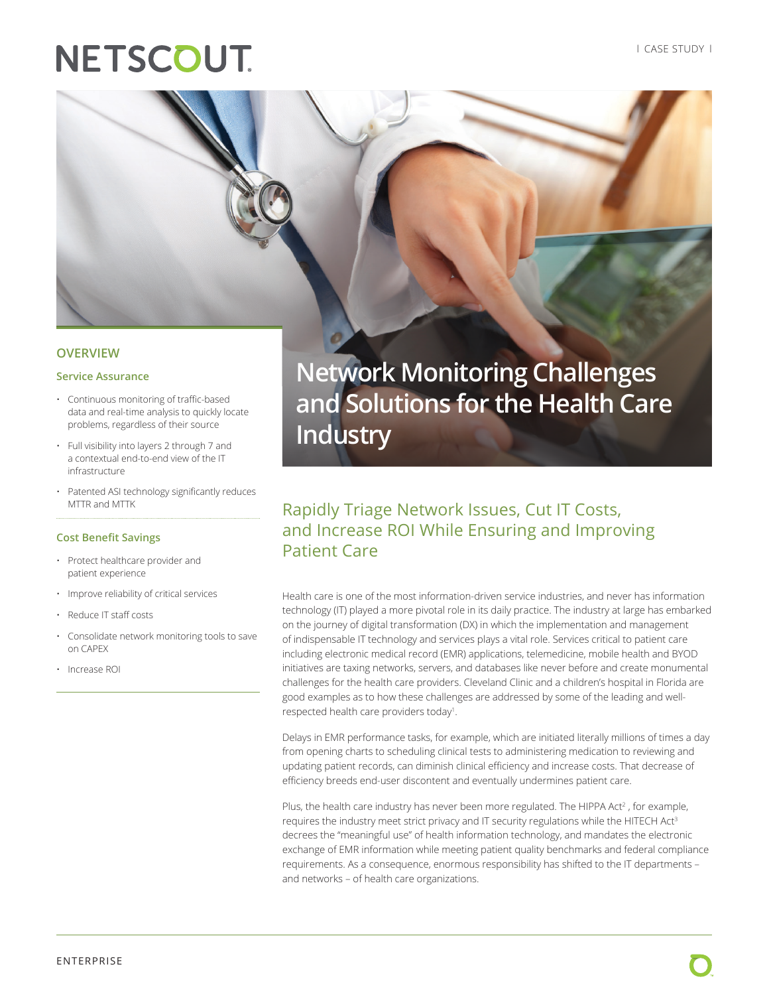# **NETSCOUT**



# **OVERVIEW**

#### **Service Assurance**

- Continuous monitoring of traffic-based data and real-time analysis to quickly locate problems, regardless of their source
- Full visibility into layers 2 through 7 and a contextual end-to-end view of the IT infrastructure
- Patented ASI technology significantly reduces MTTR and MTTK

#### **Cost Benefit Savings**

- Protect healthcare provider and patient experience
- Improve reliability of critical services
- Reduce IT staff costs
- Consolidate network monitoring tools to save on CAPEX
- Increase ROI

**Network Monitoring Challenges and Solutions for the Health Care Industry**

# Rapidly Triage Network Issues, Cut IT Costs, and Increase ROI While Ensuring and Improving Patient Care

Health care is one of the most information-driven service industries, and never has information technology (IT) played a more pivotal role in its daily practice. The industry at large has embarked on the journey of digital transformation (DX) in which the implementation and management of indispensable IT technology and services plays a vital role. Services critical to patient care including electronic medical record (EMR) applications, telemedicine, mobile health and BYOD initiatives are taxing networks, servers, and databases like never before and create monumental challenges for the health care providers. Cleveland Clinic and a children's hospital in Florida are good examples as to how these challenges are addressed by some of the leading and wellrespected health care providers today<sup>1</sup>.

Delays in EMR performance tasks, for example, which are initiated literally millions of times a day from opening charts to scheduling clinical tests to administering medication to reviewing and updating patient records, can diminish clinical efficiency and increase costs. That decrease of efficiency breeds end-user discontent and eventually undermines patient care.

Plus, the health care industry has never been more regulated. The HIPPA Act<sup>2</sup>, for example, requires the industry meet strict privacy and IT security regulations while the HITECH Act<sup>3</sup> decrees the "meaningful use" of health information technology, and mandates the electronic exchange of EMR information while meeting patient quality benchmarks and federal compliance requirements. As a consequence, enormous responsibility has shifted to the IT departments – and networks – of health care organizations.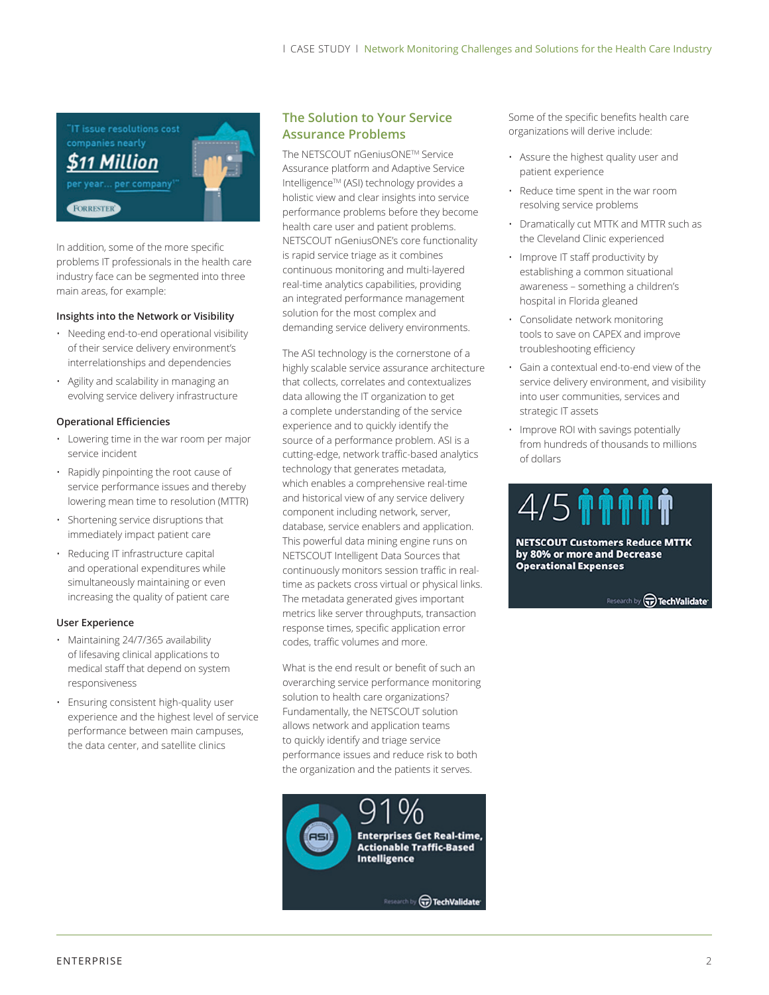'IT issue resolutions cost companies nearly 511 Million per company **FORRESTER** 

In addition, some of the more specific problems IT professionals in the health care industry face can be segmented into three main areas, for example:

#### **Insights into the Network or Visibility**

- Needing end-to-end operational visibility of their service delivery environment's interrelationships and dependencies
- Agility and scalability in managing an evolving service delivery infrastructure

### **Operational Efficiencies**

- Lowering time in the war room per major service incident
- Rapidly pinpointing the root cause of service performance issues and thereby lowering mean time to resolution (MTTR)
- Shortening service disruptions that immediately impact patient care
- Reducing IT infrastructure capital and operational expenditures while simultaneously maintaining or even increasing the quality of patient care

#### **User Experience**

- Maintaining 24/7/365 availability of lifesaving clinical applications to medical staff that depend on system responsiveness
- Ensuring consistent high-quality user experience and the highest level of service performance between main campuses, the data center, and satellite clinics

# **The Solution to Your Service Assurance Problems**

The NETSCOUT nGeniusONETM Service Assurance platform and Adaptive Service Intelligence™ (ASI) technology provides a holistic view and clear insights into service performance problems before they become health care user and patient problems. NETSCOUT nGeniusONE's core functionality is rapid service triage as it combines continuous monitoring and multi-layered real-time analytics capabilities, providing an integrated performance management solution for the most complex and demanding service delivery environments.

The ASI technology is the cornerstone of a highly scalable service assurance architecture that collects, correlates and contextualizes data allowing the IT organization to get a complete understanding of the service experience and to quickly identify the source of a performance problem. ASI is a cutting-edge, network traffic-based analytics technology that generates metadata, which enables a comprehensive real-time and historical view of any service delivery component including network, server, database, service enablers and application. This powerful data mining engine runs on NETSCOUT Intelligent Data Sources that continuously monitors session traffic in realtime as packets cross virtual or physical links. The metadata generated gives important metrics like server throughputs, transaction response times, specific application error codes, traffic volumes and more.

What is the end result or benefit of such an overarching service performance monitoring solution to health care organizations? Fundamentally, the NETSCOUT solution allows network and application teams to quickly identify and triage service performance issues and reduce risk to both the organization and the patients it serves.



Some of the specific benefits health care organizations will derive include:

- Assure the highest quality user and patient experience
- Reduce time spent in the war room resolving service problems
- Dramatically cut MTTK and MTTR such as the Cleveland Clinic experienced
- Improve IT staff productivity by establishing a common situational awareness – something a children's hospital in Florida gleaned
- Consolidate network monitoring tools to save on CAPEX and improve troubleshooting efficiency
- Gain a contextual end-to-end view of the service delivery environment, and visibility into user communities, services and strategic IT assets
- Improve ROI with savings potentially from hundreds of thousands to millions of dollars



**NETSCOUT Customers Reduce MTTK** by 80% or more and Decrease **Operational Expenses** 

Research by (v) TechValidate